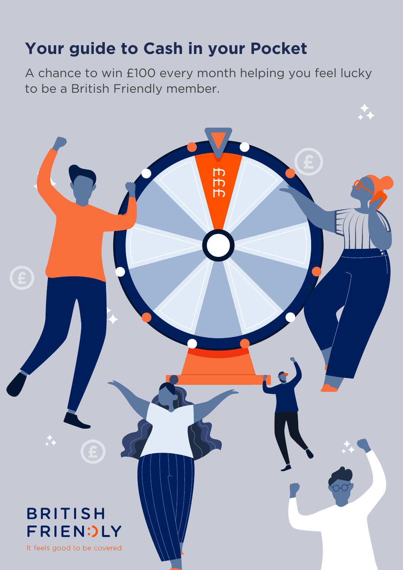## **Your guide to Cash in your Pocket**

A chance to win £100 every month helping you feel lucky to be a British Friendly member.